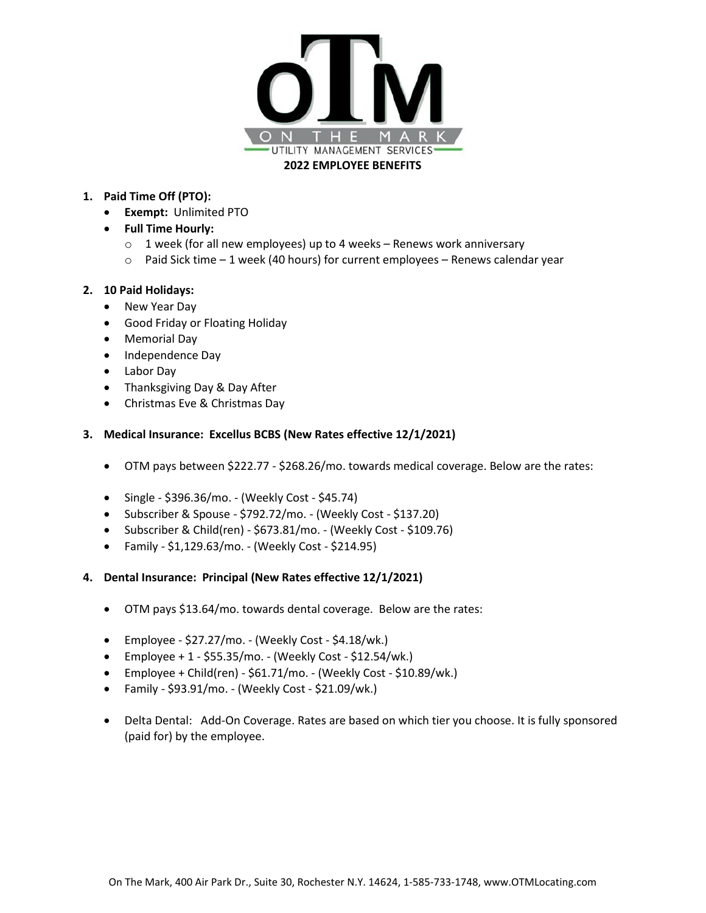

# **1. Paid Time Off (PTO):**

- **Exempt:** Unlimited PTO
- **Full Time Hourly:** 
	- o 1 week (for all new employees) up to 4 weeks Renews work anniversary
	- $\circ$  Paid Sick time 1 week (40 hours) for current employees Renews calendar year

# **2. 10 Paid Holidays:**

- New Year Day
- Good Friday or Floating Holiday
- Memorial Day
- Independence Day
- Labor Day
- Thanksgiving Day & Day After
- Christmas Eve & Christmas Day

# **3. Medical Insurance: Excellus BCBS (New Rates effective 12/1/2021)**

- OTM pays between \$222.77 \$268.26/mo. towards medical coverage. Below are the rates:
- Single \$396.36/mo. (Weekly Cost \$45.74)
- Subscriber & Spouse \$792.72/mo. (Weekly Cost \$137.20)
- Subscriber & Child(ren) \$673.81/mo. (Weekly Cost \$109.76)
- Family \$1,129.63/mo. (Weekly Cost \$214.95)
- **4. Dental Insurance: Principal (New Rates effective 12/1/2021)**
	- OTM pays \$13.64/mo. towards dental coverage. Below are the rates:
	- Employee \$27.27/mo. (Weekly Cost \$4.18/wk.)
	- Employee +  $1 $55.35/mol$  (Weekly Cost \$12.54/wk.)
	- Employee + Child(ren) \$61.71/mo. (Weekly Cost \$10.89/wk.)
	- Family \$93.91/mo. (Weekly Cost \$21.09/wk.)
	- Delta Dental: Add-On Coverage. Rates are based on which tier you choose. It is fully sponsored (paid for) by the employee.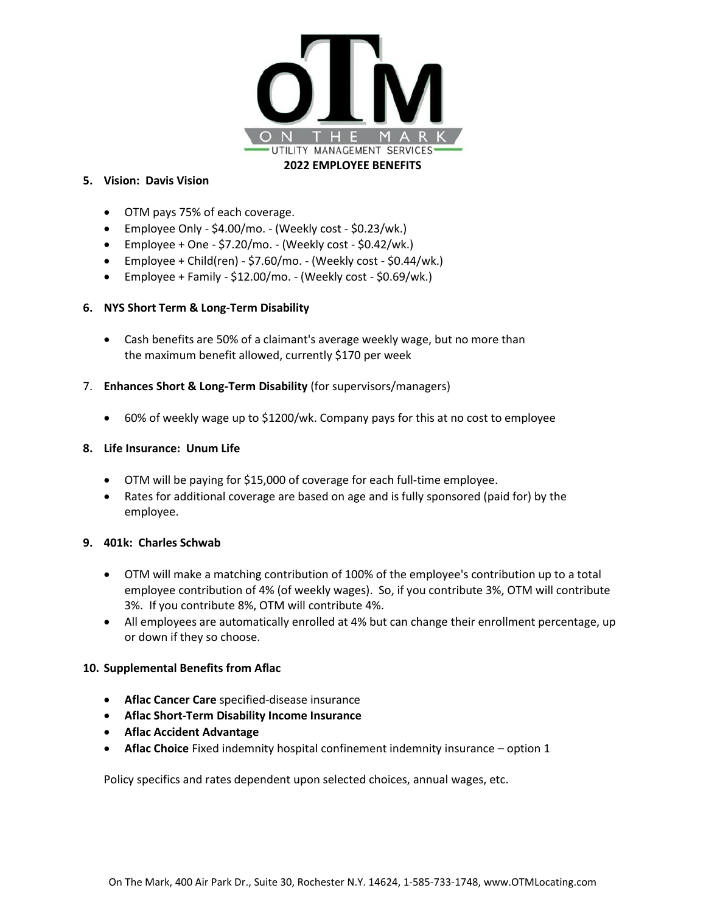

### **5. Vision: Davis Vision**

- OTM pays 75% of each coverage.
- Employee Only \$4.00/mo. (Weekly cost \$0.23/wk.)
- Employee + One \$7.20/mo. (Weekly cost \$0.42/wk.)
- Employee + Child(ren) \$7.60/mo. (Weekly cost \$0.44/wk.)
- Employee + Family \$12.00/mo. (Weekly cost \$0.69/wk.)

## **6. NYS Short Term & Long-Term Disability**

- Cash benefits are 50% of a claimant's average weekly wage, but no more than the maximum benefit allowed, currently \$170 per week
- 7. **Enhances Short & Long-Term Disability** (for supervisors/managers)
	- 60% of weekly wage up to \$1200/wk. Company pays for this at no cost to employee

#### **8. Life Insurance: Unum Life**

- OTM will be paying for \$15,000 of coverage for each full-time employee.
- Rates for additional coverage are based on age and is fully sponsored (paid for) by the employee.

## **9. 401k: Charles Schwab**

- OTM will make a matching contribution of 100% of the employee's contribution up to a total employee contribution of 4% (of weekly wages). So, if you contribute 3%, OTM will contribute 3%. If you contribute 8%, OTM will contribute 4%.
- All employees are automatically enrolled at 4% but can change their enrollment percentage, up or down if they so choose.

## **10. Supplemental Benefits from Aflac**

- **Aflac Cancer Care** specified-disease insurance
- **Aflac Short-Term Disability Income Insurance**
- **Aflac Accident Advantage**
- **Aflac Choice** Fixed indemnity hospital confinement indemnity insurance option 1

Policy specifics and rates dependent upon selected choices, annual wages, etc.